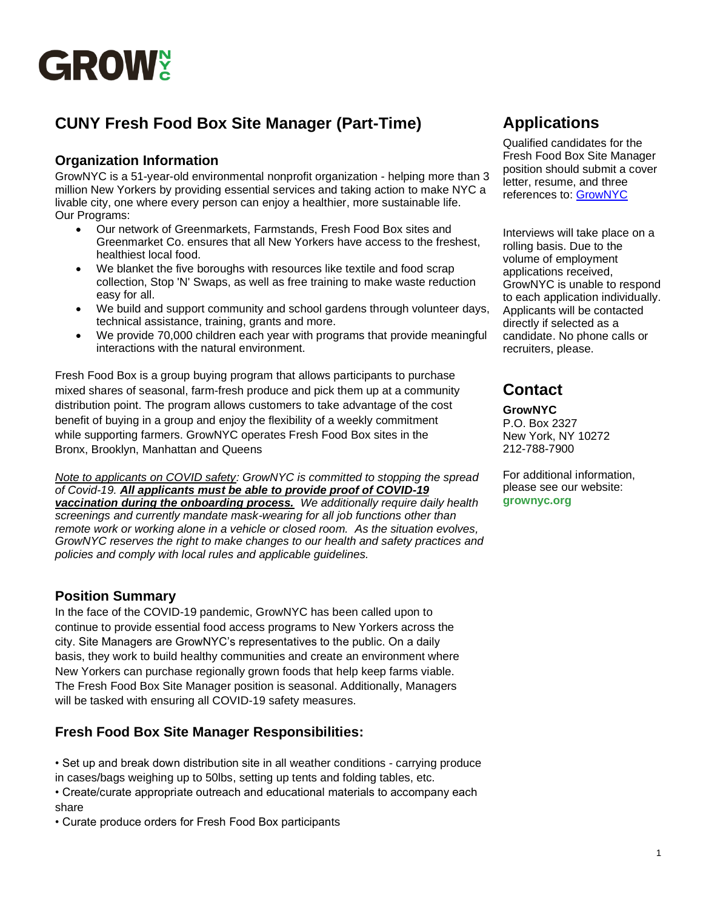

# **CUNY Fresh Food Box Site Manager (Part-Time)**

## **Organization Information**

GrowNYC is a 51-year-old environmental nonprofit organization - helping more than 3 million New Yorkers by providing essential services and taking action to make NYC a livable city, one where every person can enjoy a healthier, more sustainable life. Our Programs:

- Our network of Greenmarkets, Farmstands, Fresh Food Box sites and Greenmarket Co. ensures that all New Yorkers have access to the freshest, healthiest local food.
- We blanket the five boroughs with resources like textile and food scrap collection, Stop 'N' Swaps, as well as free training to make waste reduction easy for all.
- We build and support community and school gardens through volunteer days, technical assistance, training, grants and more.
- We provide 70,000 children each year with programs that provide meaningful interactions with the natural environment.

Fresh Food Box is a group buying program that allows participants to purchase mixed shares of seasonal, farm-fresh produce and pick them up at a community distribution point. The program allows customers to take advantage of the cost benefit of buying in a group and enjoy the flexibility of a weekly commitment while supporting farmers. GrowNYC operates Fresh Food Box sites in the Bronx, Brooklyn, Manhattan and Queens

*Note to applicants on COVID safety: GrowNYC is committed to stopping the spread of Covid-19. All applicants must be able to provide proof of COVID-19* 

*vaccination during the onboarding process. We additionally require daily health screenings and currently mandate mask-wearing for all job functions other than remote work or working alone in a vehicle or closed room. As the situation evolves, GrowNYC reserves the right to make changes to our health and safety practices and policies and comply with local rules and applicable guidelines.*

## **Position Summary**

In the face of the COVID-19 pandemic, GrowNYC has been called upon to continue to provide essential food access programs to New Yorkers across the city. Site Managers are GrowNYC's representatives to the public. On a daily basis, they work to build healthy communities and create an environment where New Yorkers can purchase regionally grown foods that help keep farms viable. The Fresh Food Box Site Manager position is seasonal. Additionally, Managers will be tasked with ensuring all COVID-19 safety measures.

## **Fresh Food Box Site Manager Responsibilities:**

• Set up and break down distribution site in all weather conditions - carrying produce in cases/bags weighing up to 50lbs, setting up tents and folding tables, etc.

• Create/curate appropriate outreach and educational materials to accompany each share

• Curate produce orders for Fresh Food Box participants

# **Applications**

Qualified candidates for the Fresh Food Box Site Manager position should submit a cover letter, resume, and three references to: [GrowNYC](https://recruiting.paylocity.com/recruiting/jobs/All/b5f607fc-8a87-4bc1-9700-014a053db58f/GrowNYC)

Interviews will take place on a rolling basis. Due to the volume of employment applications received, GrowNYC is unable to respond to each application individually. Applicants will be contacted directly if selected as a candidate. No phone calls or recruiters, please.

# **Contact**

### **GrowNYC**

P.O. Box 2327 New York, NY 10272 212-788-7900

For additional information, please see our website: **grownyc.org**